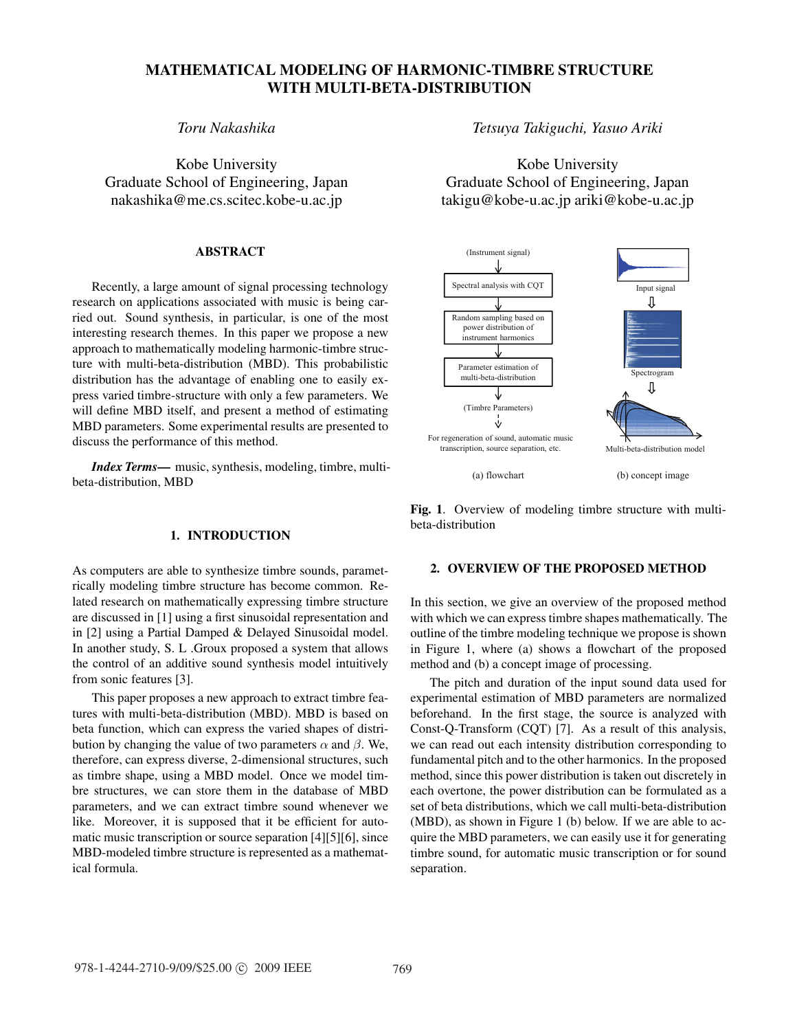# **MATHEMATICAL MODELING OF HARMONIC-TIMBRE STRUCTURE WITH MULTI-BETA-DISTRIBUTION**

*Toru Nakashika*

Kobe University Graduate School of Engineering, Japan nakashika@me.cs.scitec.kobe-u.ac.jp

#### **ABSTRACT ABSTRACT**

Recently, a large amount of signal processing technology research on applications associated with music is being carried out. Sound synthesis, in particular, is one of the most interesting research themes. In this paper we propose a new approach to mathematically modeling harmonic-timbre structure with multi-beta-distribution (MBD). This probabilistic distribution has the advantage of enabling one to easily express varied timbre-structure with only a few parameters. We will define MBD itself, and present a method of estimating MBD parameters. Some experimental results are presented to discuss the performance of this method.

*Index Terms***—** music, synthesis, modeling, timbre, multibeta-distribution, MBD

## **1. INTRODUCTION**

As computers are able to synthesize timbre sounds, parametrically modeling timbre structure has become common. Related research on mathematically expressing timbre structure are discussed in [1] using a first sinusoidal representation and in [2] using a Partial Damped & Delayed Sinusoidal model. In another study, S. L .Groux proposed a system that allows the control of an additive sound synthesis model intuitively from sonic features [3].

This paper proposes a new approach to extract timbre features with multi-beta-distribution (MBD). MBD is based on beta function, which can express the varied shapes of distribution by changing the value of two parameters  $\alpha$  and  $\beta$ . We, therefore, can express diverse, 2-dimensional structures, such as timbre shape, using a MBD model. Once we model timbre structures, we can store them in the database of MBD parameters, and we can extract timbre sound whenever we like. Moreover, it is supposed that it be efficient for automatic music transcription or source separation [4][5][6], since MBD-modeled timbre structure is represented as a mathematical formula.

*Tetsuya Takiguchi, Yasuo Ariki*

Kobe University Graduate School of Engineering, Japan takigu@kobe-u.ac.jp ariki@kobe-u.ac.jp



Fig. 1. Overview of modeling timbre structure with multibeta-distribution

#### 2. OVERVIEW OF THE PROPOSED METHOD **2. OVERVIEW OF THE PROPOSED METHOD**

In this section, we give an overview of the proposed method with which we can express timbre shapes mathematically. The outline of the timbre modeling technique we propose is shown in Figure 1, where (a) shows a flowchart of the proposed method and (b) a concept image of processing.

The pitch and duration of the input sound data used for experimental estimation of MBD parameters are normalized beforehand. In the first stage, the source is analyzed with Const-Q-Transform (CQT) [7]. As a result of this analysis, we can read out each intensity distribution corresponding to fundamental pitch and to the other harmonics. In the proposed method, since this power distribution is taken out discretely in each overtone, the power distribution can be formulated as a set of beta distributions, which we call multi-beta-distribution (MBD), as shown in Figure 1 (b) below. If we are able to acquire the MBD parameters, we can easily use it for generating timbre sound, for automatic music transcription or for sound separation.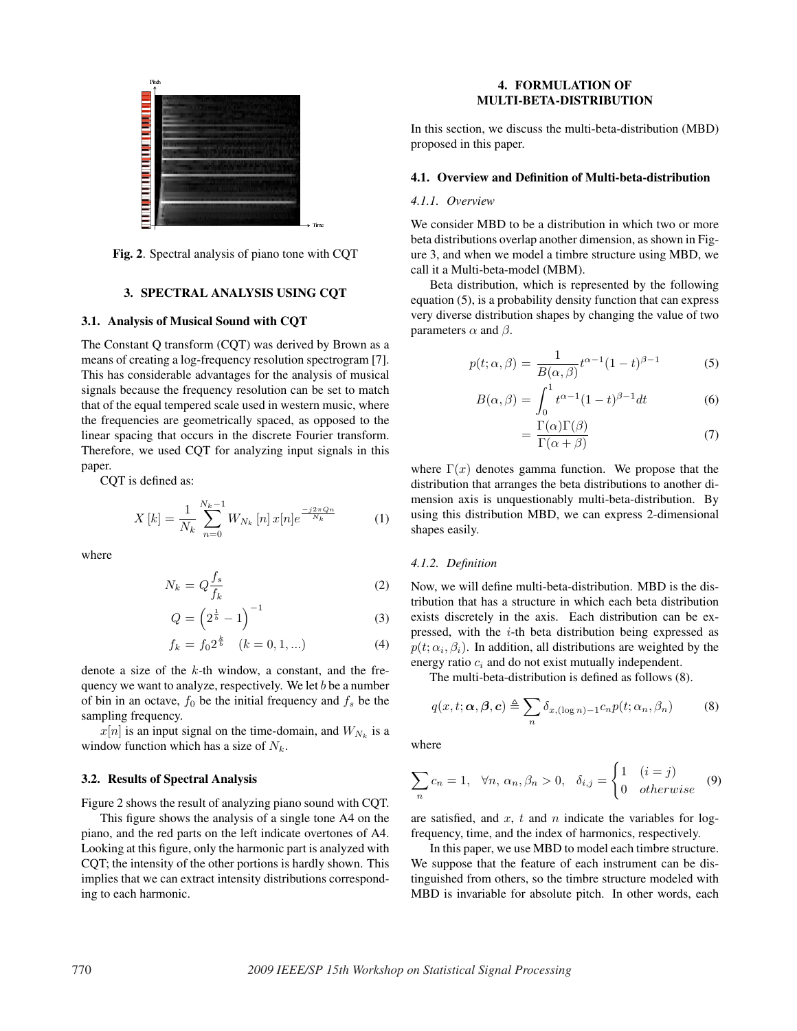

**Fig. 2**. Spectral analysis of piano tone with CQT

### **3. SPECTRAL ANALYSIS USING CQT**

#### **3.1. Analysis of Musical Sound with CQT**

The Constant Q transform (CQT) was derived by Brown as a means of creating a log-frequency resolution spectrogram [7]. This has considerable advantages for the analysis of musical signals because the frequency resolution can be set to match that of the equal tempered scale used in western music, where the frequencies are geometrically spaced, as opposed to the linear spacing that occurs in the discrete Fourier transform. Therefore, we used CQT for analyzing input signals in this paper.

CQT is defined as:

$$
X\left[k\right] = \frac{1}{N_k} \sum_{n=0}^{N_k - 1} W_{N_k}\left[n\right] x[n] e^{\frac{-j2\pi Qn}{N_k}} \tag{1}
$$

where

$$
N_k = Q \frac{f_s}{f_k} \tag{2}
$$

$$
Q = \left(2^{\frac{1}{b}} - 1\right)^{-1} \tag{3}
$$

$$
f_k = f_0 2^{\frac{k}{b}} \quad (k = 0, 1, \ldots) \tag{4}
$$

denote a size of the  $k$ -th window, a constant, and the frequency we want to analyze, respectively. We let  $b$  be a number of bin in an octave,  $f_0$  be the initial frequency and  $f_s$  be the sampling frequency.

 $x[n]$  is an input signal on the time-domain, and  $W_{N_k}$  is a window function which has a size of  $N_k$ .

### **3.2. Results of Spectral Analysis**

Figure 2 shows the result of analyzing piano sound with CQT.

This figure shows the analysis of a single tone A4 on the piano, and the red parts on the left indicate overtones of A4. Looking at this figure, only the harmonic part is analyzed with CQT; the intensity of the other portions is hardly shown. This implies that we can extract intensity distributions corresponding to each harmonic.

### **4. FORMULATION OF MULTI-BETA-DISTRIBUTION**

In this section, we discuss the multi-beta-distribution (MBD) proposed in this paper.

### **4.1. Overview and Definition of Multi-beta-distribution**

### *4.1.1. Overview*

We consider MBD to be a distribution in which two or more beta distributions overlap another dimension, as shown in Figure 3, and when we model a timbre structure using MBD, we call it a Multi-beta-model (MBM).

Beta distribution, which is represented by the following equation (5), is a probability density function that can express very diverse distribution shapes by changing the value of two parameters  $\alpha$  and  $\beta$ .

$$
p(t; \alpha, \beta) = \frac{1}{B(\alpha, \beta)} t^{\alpha - 1} (1 - t)^{\beta - 1}
$$
 (5)

$$
B(\alpha, \beta) = \int_0^1 t^{\alpha - 1} (1 - t)^{\beta - 1} dt
$$
 (6)

$$
=\frac{\Gamma(\alpha)\Gamma(\beta)}{\Gamma(\alpha+\beta)}
$$
\n(7)

where  $\Gamma(x)$  denotes gamma function. We propose that the distribution that arranges the beta distributions to another dimension axis is unquestionably multi-beta-distribution. By using this distribution MBD, we can express 2-dimensional shapes easily.

#### *4.1.2. Definition*

Now, we will define multi-beta-distribution. MBD is the distribution that has a structure in which each beta distribution exists discretely in the axis. Each distribution can be expressed, with the  $i$ -th beta distribution being expressed as  $p(t; \alpha_i, \beta_i)$ . In addition, all distributions are weighted by the energy ratio  $c_i$  and do not exist mutually independent.

The multi-beta-distribution is defined as follows (8).

$$
q(x, t; \boldsymbol{\alpha}, \boldsymbol{\beta}, \boldsymbol{c}) \triangleq \sum_{n} \delta_{x, (\log n) - 1} c_n p(t; \alpha_n, \beta_n)
$$
(8)

where

$$
\sum_{n} c_n = 1, \quad \forall n, \, \alpha_n, \beta_n > 0, \quad \delta_{i,j} = \begin{cases} 1 & (i=j) \\ 0 & \text{otherwise} \end{cases} \tag{9}
$$

are satisfied, and  $x$ ,  $t$  and  $n$  indicate the variables for logfrequency, time, and the index of harmonics, respectively.

In this paper, we use MBD to model each timbre structure. We suppose that the feature of each instrument can be distinguished from others, so the timbre structure modeled with MBD is invariable for absolute pitch. In other words, each